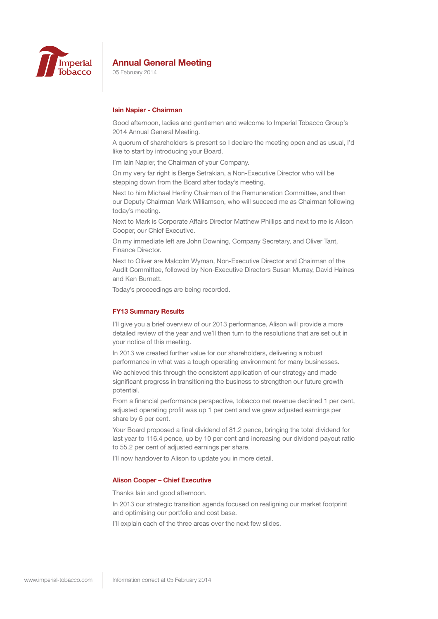

05 February 2014

### **Iain Napier - Chairman**

Good afternoon, ladies and gentlemen and welcome to Imperial Tobacco Group's 2014 Annual General Meeting.

A quorum of shareholders is present so I declare the meeting open and as usual, I'd like to start by introducing your Board.

I'm Iain Napier, the Chairman of your Company.

On my very far right is Berge Setrakian, a Non-Executive Director who will be stepping down from the Board after today's meeting.

Next to him Michael Herlihy Chairman of the Remuneration Committee, and then our Deputy Chairman Mark Williamson, who will succeed me as Chairman following today's meeting.

Next to Mark is Corporate Affairs Director Matthew Phillips and next to me is Alison Cooper, our Chief Executive.

On my immediate left are John Downing, Company Secretary, and Oliver Tant, Finance Director.

Next to Oliver are Malcolm Wyman, Non-Executive Director and Chairman of the Audit Committee, followed by Non-Executive Directors Susan Murray, David Haines and Ken Burnett.

Today's proceedings are being recorded.

#### **FY13 Summary Results**

I'll give you a brief overview of our 2013 performance, Alison will provide a more detailed review of the year and we'll then turn to the resolutions that are set out in your notice of this meeting.

In 2013 we created further value for our shareholders, delivering a robust performance in what was a tough operating environment for many businesses.

We achieved this through the consistent application of our strategy and made significant progress in transitioning the business to strengthen our future growth potential.

From a financial performance perspective, tobacco net revenue declined 1 per cent, adjusted operating profit was up 1 per cent and we grew adjusted earnings per share by 6 per cent.

Your Board proposed a final dividend of 81.2 pence, bringing the total dividend for last year to 116.4 pence, up by 10 per cent and increasing our dividend payout ratio to 55.2 per cent of adjusted earnings per share.

I'll now handover to Alison to update you in more detail.

#### **Alison Cooper – Chief Executive**

Thanks Iain and good afternoon.

In 2013 our strategic transition agenda focused on realigning our market footprint and optimising our portfolio and cost base.

I'll explain each of the three areas over the next few slides.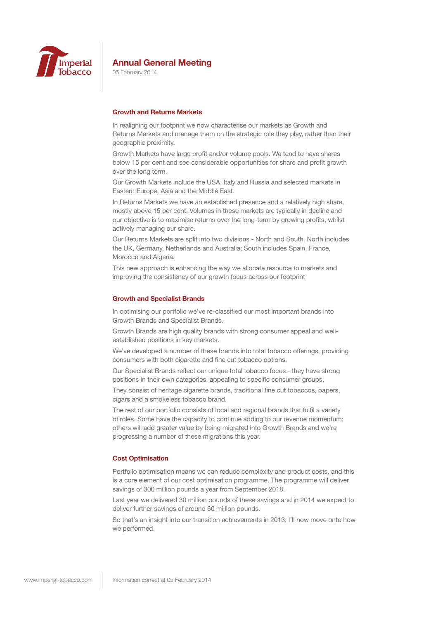

05 February 2014

# **Growth and Returns Markets**

In realigning our footprint we now characterise our markets as Growth and Returns Markets and manage them on the strategic role they play, rather than their geographic proximity.

Growth Markets have large profit and/or volume pools. We tend to have shares below 15 per cent and see considerable opportunities for share and profit growth over the long term.

Our Growth Markets include the USA, Italy and Russia and selected markets in Eastern Europe, Asia and the Middle East.

In Returns Markets we have an established presence and a relatively high share, mostly above 15 per cent. Volumes in these markets are typically in decline and our objective is to maximise returns over the long-term by growing profits, whilst actively managing our share.

Our Returns Markets are split into two divisions - North and South. North includes the UK, Germany, Netherlands and Australia; South includes Spain, France, Morocco and Algeria.

This new approach is enhancing the way we allocate resource to markets and improving the consistency of our growth focus across our footprint

#### **Growth and Specialist Brands**

In optimising our portfolio we've re-classified our most important brands into Growth Brands and Specialist Brands.

Growth Brands are high quality brands with strong consumer appeal and wellestablished positions in key markets.

We've developed a number of these brands into total tobacco offerings, providing consumers with both cigarette and fine cut tobacco options.

Our Specialist Brands reflect our unique total tobacco focus - they have strong positions in their own categories, appealing to specific consumer groups.

They consist of heritage cigarette brands, traditional fine cut tobaccos, papers, cigars and a smokeless tobacco brand.

The rest of our portfolio consists of local and regional brands that fulfil a variety of roles. Some have the capacity to continue adding to our revenue momentum; others will add greater value by being migrated into Growth Brands and we're progressing a number of these migrations this year.

### **Cost Optimisation**

Portfolio optimisation means we can reduce complexity and product costs, and this is a core element of our cost optimisation programme. The programme will deliver savings of 300 million pounds a year from September 2018.

Last year we delivered 30 million pounds of these savings and in 2014 we expect to deliver further savings of around 60 million pounds.

So that's an insight into our transition achievements in 2013; I'll now move onto how we performed.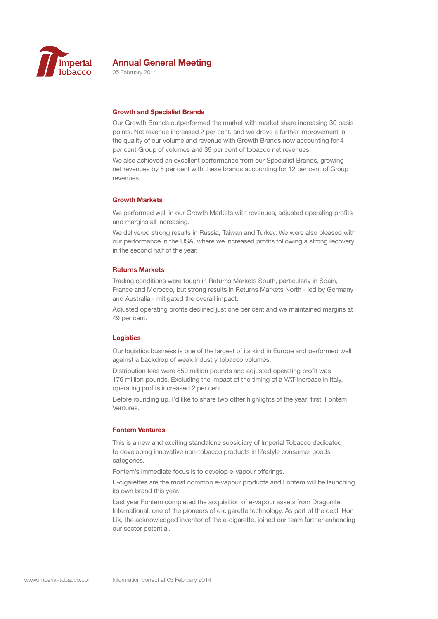

05 February 2014

#### **Growth and Specialist Brands**

Our Growth Brands outperformed the market with market share increasing 30 basis points. Net revenue increased 2 per cent, and we drove a further improvement in the quality of our volume and revenue with Growth Brands now accounting for 41 per cent Group of volumes and 39 per cent of tobacco net revenues.

We also achieved an excellent performance from our Specialist Brands, growing net revenues by 5 per cent with these brands accounting for 12 per cent of Group revenues.

#### **Growth Markets**

We performed well in our Growth Markets with revenues, adjusted operating profits and margins all increasing.

We delivered strong results in Russia, Taiwan and Turkey. We were also pleased with our performance in the USA, where we increased profits following a strong recovery in the second half of the year.

#### **Returns Markets**

Trading conditions were tough in Returns Markets South, particularly in Spain, France and Morocco, but strong results in Returns Markets North - led by Germany and Australia - mitigated the overall impact.

Adjusted operating profits declined just one per cent and we maintained margins at 49 per cent.

#### **Logistics**

Our logistics business is one of the largest of its kind in Europe and performed well against a backdrop of weak industry tobacco volumes.

Distribution fees were 850 million pounds and adjusted operating profit was 176 million pounds. Excluding the impact of the timing of a VAT increase in Italy, operating profits increased 2 per cent.

Before rounding up, I'd like to share two other highlights of the year; first, Fontem Ventures.

### **Fontem Ventures**

This is a new and exciting standalone subsidiary of Imperial Tobacco dedicated to developing innovative non-tobacco products in lifestyle consumer goods categories.

Fontem's immediate focus is to develop e-vapour offerings.

E-cigarettes are the most common e-vapour products and Fontem will be launching its own brand this year.

Last year Fontem completed the acquisition of e-vapour assets from Dragonite International, one of the pioneers of e-cigarette technology. As part of the deal, Hon Lik, the acknowledged inventor of the e-cigarette, joined our team further enhancing our sector potential.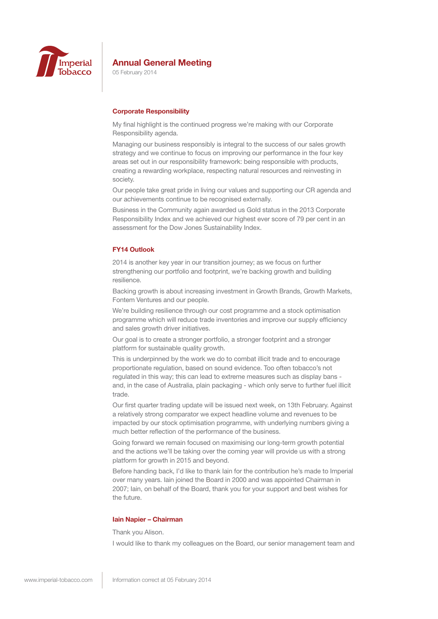

05 February 2014

# **Corporate Responsibility**

My final highlight is the continued progress we're making with our Corporate Responsibility agenda.

Managing our business responsibly is integral to the success of our sales growth strategy and we continue to focus on improving our performance in the four key areas set out in our responsibility framework: being responsible with products, creating a rewarding workplace, respecting natural resources and reinvesting in society.

Our people take great pride in living our values and supporting our CR agenda and our achievements continue to be recognised externally.

Business in the Community again awarded us Gold status in the 2013 Corporate Responsibility Index and we achieved our highest ever score of 79 per cent in an assessment for the Dow Jones Sustainability Index.

# **FY14 Outlook**

2014 is another key year in our transition journey; as we focus on further strengthening our portfolio and footprint, we're backing growth and building resilience.

Backing growth is about increasing investment in Growth Brands, Growth Markets, Fontem Ventures and our people.

We're building resilience through our cost programme and a stock optimisation programme which will reduce trade inventories and improve our supply efficiency and sales growth driver initiatives.

Our goal is to create a stronger portfolio, a stronger footprint and a stronger platform for sustainable quality growth.

This is underpinned by the work we do to combat illicit trade and to encourage proportionate regulation, based on sound evidence. Too often tobacco's not regulated in this way; this can lead to extreme measures such as display bans and, in the case of Australia, plain packaging - which only serve to further fuel illicit trade.

Our first quarter trading update will be issued next week, on 13th February. Against a relatively strong comparator we expect headline volume and revenues to be impacted by our stock optimisation programme, with underlying numbers giving a much better reflection of the performance of the business.

Going forward we remain focused on maximising our long-term growth potential and the actions we'll be taking over the coming year will provide us with a strong platform for growth in 2015 and beyond.

Before handing back, I'd like to thank Iain for the contribution he's made to Imperial over many years. Iain joined the Board in 2000 and was appointed Chairman in 2007; Iain, on behalf of the Board, thank you for your support and best wishes for the future.

### **Iain Napier – Chairman**

Thank you Alison.

I would like to thank my colleagues on the Board, our senior management team and